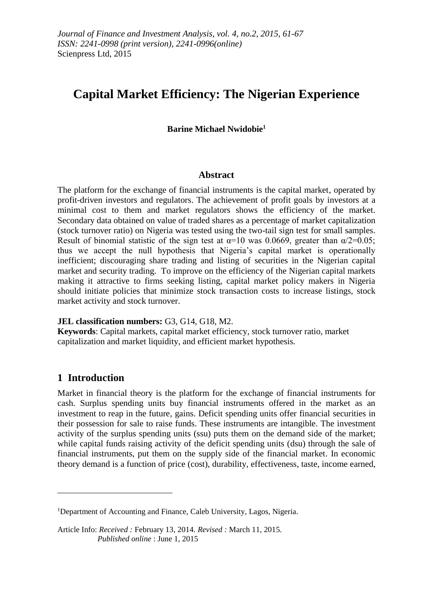# **Capital Market Efficiency: The Nigerian Experience**

**Barine Michael Nwidobie<sup>1</sup>**

#### **Abstract**

The platform for the exchange of financial instruments is the capital market, operated by profit-driven investors and regulators. The achievement of profit goals by investors at a minimal cost to them and market regulators shows the efficiency of the market. Secondary data obtained on value of traded shares as a percentage of market capitalization (stock turnover ratio) on Nigeria was tested using the two-tail sign test for small samples. Result of binomial statistic of the sign test at  $\alpha=10$  was 0.0669, greater than  $\alpha/2=0.05$ ; thus we accept the null hypothesis that Nigeria's capital market is operationally inefficient; discouraging share trading and listing of securities in the Nigerian capital market and security trading. To improve on the efficiency of the Nigerian capital markets making it attractive to firms seeking listing, capital market policy makers in Nigeria should initiate policies that minimize stock transaction costs to increase listings, stock market activity and stock turnover.

#### **JEL classification numbers:** G3, G14, G18, M2.

**Keywords**: Capital markets, capital market efficiency, stock turnover ratio, market capitalization and market liquidity, and efficient market hypothesis.

# **1 Introduction**

1

Market in financial theory is the platform for the exchange of financial instruments for cash. Surplus spending units buy financial instruments offered in the market as an investment to reap in the future, gains. Deficit spending units offer financial securities in their possession for sale to raise funds. These instruments are intangible. The investment activity of the surplus spending units (ssu) puts them on the demand side of the market; while capital funds raising activity of the deficit spending units (dsu) through the sale of financial instruments, put them on the supply side of the financial market. In economic theory demand is a function of price (cost), durability, effectiveness, taste, income earned,

<sup>&</sup>lt;sup>1</sup>Department of Accounting and Finance, Caleb University, Lagos, Nigeria.

Article Info: *Received :* February 13, 2014*. Revised :* March 11, 2015.  *Published online* : June 1, 2015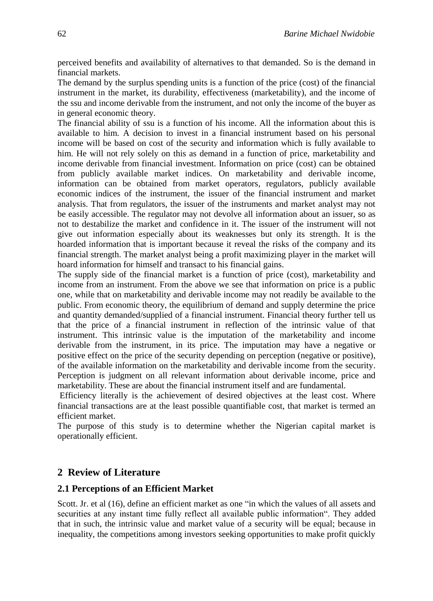perceived benefits and availability of alternatives to that demanded. So is the demand in financial markets.

The demand by the surplus spending units is a function of the price (cost) of the financial instrument in the market, its durability, effectiveness (marketability), and the income of the ssu and income derivable from the instrument, and not only the income of the buyer as in general economic theory.

The financial ability of ssu is a function of his income. All the information about this is available to him. A decision to invest in a financial instrument based on his personal income will be based on cost of the security and information which is fully available to him. He will not rely solely on this as demand in a function of price, marketability and income derivable from financial investment. Information on price (cost) can be obtained from publicly available market indices. On marketability and derivable income, information can be obtained from market operators, regulators, publicly available economic indices of the instrument, the issuer of the financial instrument and market analysis. That from regulators, the issuer of the instruments and market analyst may not be easily accessible. The regulator may not devolve all information about an issuer, so as not to destabilize the market and confidence in it. The issuer of the instrument will not give out information especially about its weaknesses but only its strength. It is the hoarded information that is important because it reveal the risks of the company and its financial strength. The market analyst being a profit maximizing player in the market will hoard information for himself and transact to his financial gains.

The supply side of the financial market is a function of price (cost), marketability and income from an instrument. From the above we see that information on price is a public one, while that on marketability and derivable income may not readily be available to the public. From economic theory, the equilibrium of demand and supply determine the price and quantity demanded/supplied of a financial instrument. Financial theory further tell us that the price of a financial instrument in reflection of the intrinsic value of that instrument. This intrinsic value is the imputation of the marketability and income derivable from the instrument, in its price. The imputation may have a negative or positive effect on the price of the security depending on perception (negative or positive), of the available information on the marketability and derivable income from the security. Perception is judgment on all relevant information about derivable income, price and marketability. These are about the financial instrument itself and are fundamental.

Efficiency literally is the achievement of desired objectives at the least cost. Where financial transactions are at the least possible quantifiable cost, that market is termed an efficient market.

The purpose of this study is to determine whether the Nigerian capital market is operationally efficient.

# **2 Review of Literature**

### **2.1 Perceptions of an Efficient Market**

Scott. Jr. et al (16), define an efficient market as one "in which the values of all assets and securities at any instant time fully reflect all available public information". They added that in such, the intrinsic value and market value of a security will be equal; because in inequality, the competitions among investors seeking opportunities to make profit quickly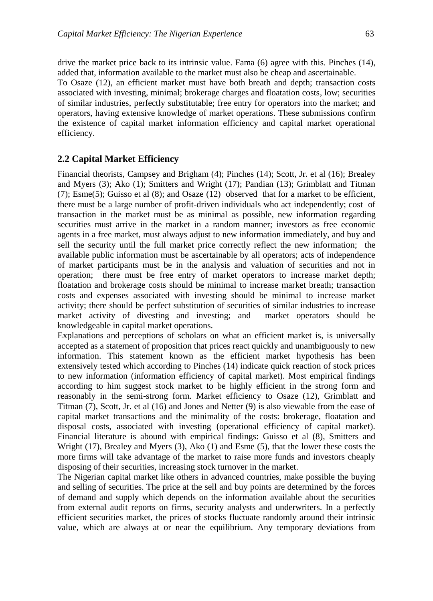drive the market price back to its intrinsic value. Fama (6) agree with this. Pinches (14), added that, information available to the market must also be cheap and ascertainable. To Osaze (12), an efficient market must have both breath and depth; transaction costs associated with investing, minimal; brokerage charges and floatation costs, low; securities of similar industries, perfectly substitutable; free entry for operators into the market; and operators, having extensive knowledge of market operations. These submissions confirm the existence of capital market information efficiency and capital market operational efficiency.

# **2.2 Capital Market Efficiency**

Financial theorists, Campsey and Brigham (4); Pinches (14); Scott, Jr. et al (16); Brealey and Myers (3); Ako (1); Smitters and Wright (17); Pandian (13); Grimblatt and Titman (7); Esme(5); Guisso et al (8); and Osaze (12) observed that for a market to be efficient, there must be a large number of profit-driven individuals who act independently; cost of transaction in the market must be as minimal as possible, new information regarding securities must arrive in the market in a random manner; investors as free economic agents in a free market, must always adjust to new information immediately, and buy and sell the security until the full market price correctly reflect the new information; the available public information must be ascertainable by all operators; acts of independence of market participants must be in the analysis and valuation of securities and not in operation; there must be free entry of market operators to increase market depth; floatation and brokerage costs should be minimal to increase market breath; transaction costs and expenses associated with investing should be minimal to increase market activity; there should be perfect substitution of securities of similar industries to increase market activity of divesting and investing; and market operators should be knowledgeable in capital market operations.

Explanations and perceptions of scholars on what an efficient market is, is universally accepted as a statement of proposition that prices react quickly and unambiguously to new information. This statement known as the efficient market hypothesis has been extensively tested which according to Pinches (14) indicate quick reaction of stock prices to new information (information efficiency of capital market). Most empirical findings according to him suggest stock market to be highly efficient in the strong form and reasonably in the semi-strong form. Market efficiency to Osaze (12), Grimblatt and Titman (7), Scott, Jr. et al (16) and Jones and Netter (9) is also viewable from the ease of capital market transactions and the minimality of the costs: brokerage, floatation and disposal costs, associated with investing (operational efficiency of capital market). Financial literature is abound with empirical findings: Guisso et al (8), Smitters and Wright (17), Brealey and Myers (3), Ako (1) and Esme (5), that the lower these costs the more firms will take advantage of the market to raise more funds and investors cheaply disposing of their securities, increasing stock turnover in the market.

The Nigerian capital market like others in advanced countries, make possible the buying and selling of securities. The price at the sell and buy points are determined by the forces of demand and supply which depends on the information available about the securities from external audit reports on firms, security analysts and underwriters. In a perfectly efficient securities market, the prices of stocks fluctuate randomly around their intrinsic value, which are always at or near the equilibrium. Any temporary deviations from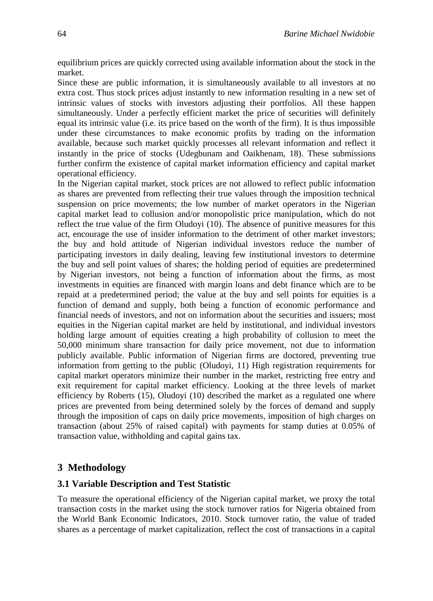equilibrium prices are quickly corrected using available information about the stock in the market.

Since these are public information, it is simultaneously available to all investors at no extra cost. Thus stock prices adjust instantly to new information resulting in a new set of intrinsic values of stocks with investors adjusting their portfolios. All these happen simultaneously. Under a perfectly efficient market the price of securities will definitely equal its intrinsic value (i.e. its price based on the worth of the firm). It is thus impossible under these circumstances to make economic profits by trading on the information available, because such market quickly processes all relevant information and reflect it instantly in the price of stocks (Udegbunam and Oaikhenam, 18). These submissions further confirm the existence of capital market information efficiency and capital market operational efficiency.

In the Nigerian capital market, stock prices are not allowed to reflect public information as shares are prevented from reflecting their true values through the imposition technical suspension on price movements; the low number of market operators in the Nigerian capital market lead to collusion and/or monopolistic price manipulation, which do not reflect the true value of the firm Oludoyi (10). The absence of punitive measures for this act, encourage the use of insider information to the detriment of other market investors; the buy and hold attitude of Nigerian individual investors reduce the number of participating investors in daily dealing, leaving few institutional investors to determine the buy and sell point values of shares; the holding period of equities are predetermined by Nigerian investors, not being a function of information about the firms, as most investments in equities are financed with margin loans and debt finance which are to be repaid at a predetermined period; the value at the buy and sell points for equities is a function of demand and supply, both being a function of economic performance and financial needs of investors, and not on information about the securities and issuers; most equities in the Nigerian capital market are held by institutional, and individual investors holding large amount of equities creating a high probability of collusion to meet the 50,000 minimum share transaction for daily price movement, not due to information publicly available. Public information of Nigerian firms are doctored, preventing true information from getting to the public (Oludoyi, 11) High registration requirements for capital market operators minimize their number in the market, restricting free entry and exit requirement for capital market efficiency. Looking at the three levels of market efficiency by Roberts (15), Oludoyi (10) described the market as a regulated one where prices are prevented from being determined solely by the forces of demand and supply through the imposition of caps on daily price movements, imposition of high charges on transaction (about 25% of raised capital) with payments for stamp duties at 0.05% of transaction value, withholding and capital gains tax.

# **3 Methodology**

#### **3.1 Variable Description and Test Statistic**

To measure the operational efficiency of the Nigerian capital market, we proxy the total transaction costs in the market using the stock turnover ratios for Nigeria obtained from the World Bank Economic Indicators, 2010. Stock turnover ratio, the value of traded shares as a percentage of market capitalization, reflect the cost of transactions in a capital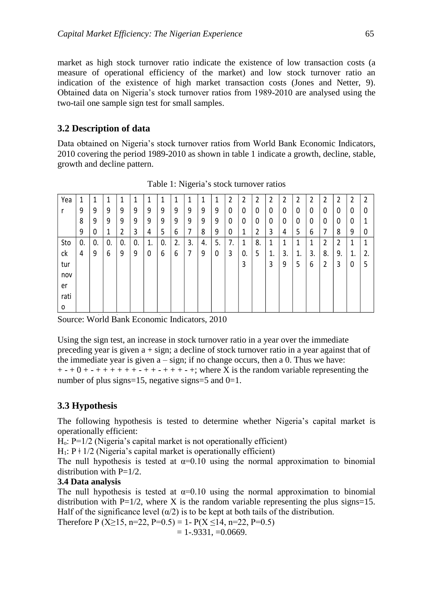market as high stock turnover ratio indicate the existence of low transaction costs (a measure of operational efficiency of the market) and low stock turnover ratio an indication of the existence of high market transaction costs (Jones and Netter, 9). Obtained data on Nigeria's stock turnover ratios from 1989-2010 are analysed using the two-tail one sample sign test for small samples.

## **3.2 Description of data**

Data obtained on Nigeria's stock turnover ratios from World Bank Economic Indicators, 2010 covering the period 1989-2010 as shown in table 1 indicate a growth, decline, stable, growth and decline pattern.

| Yea  | 1  | 1  | 1  | 1  | 1  | 1  | 1  | 1  | 1  | 1  | 1  | 2  | 2  | 2  | 2  | 2            | 2  | 2  | 2  | 2  | 2  | 2  |
|------|----|----|----|----|----|----|----|----|----|----|----|----|----|----|----|--------------|----|----|----|----|----|----|
|      | 9  | 9  | 9  | 9  | 9  | 9  | 9  | 9  | 9  | 9  | 9  | 0  | 0  | 0  | 0  | 0            | 0  | 0  | 0  | 0  | 0  | 0  |
|      | 8  | 9  | 9  | 9  | 9  | 9  | 9  | 9  | 9  | 9  | 9  | 0  | 0  | 0  | 0  | $\mathbf{0}$ | 0  | 0  | 0  | 0  | 0  |    |
|      | 9  | 0  | 1  | 2  | 3  | 4  | 5  | 6  | 7  | 8  | 9  | 0  | 1  | 2  | 3  | 4            | 5  | 6  | 7  | 8  | 9  | 0  |
| Sto  | 0. | 0. | 0. | 0. | 0. | 1. | 0. | 2. | 3. | 4. | 5. | 7. | 1  | 8. | 1  |              |    | 1  | 2  | 2  | 1  |    |
| ck   | 4  | 9  | 6  | 9  | 9  | 0  | 6  | 6  | 7  | 9  | 0  | 3  | 0. | 5  | 1. | 3.           | 1. | 3. | 8. | 9. | 1. | 2. |
| tur  |    |    |    |    |    |    |    |    |    |    |    |    | 3  |    | 3  | 9            | 5  | 6  | 2  | 3  | 0  | 5  |
| nov  |    |    |    |    |    |    |    |    |    |    |    |    |    |    |    |              |    |    |    |    |    |    |
| er   |    |    |    |    |    |    |    |    |    |    |    |    |    |    |    |              |    |    |    |    |    |    |
| rati |    |    |    |    |    |    |    |    |    |    |    |    |    |    |    |              |    |    |    |    |    |    |
| 0    |    |    |    |    |    |    |    |    |    |    |    |    |    |    |    |              |    |    |    |    |    |    |

Table 1: Nigeria's stock turnover ratios Table 1: Nigeria's stock turnover ratios

Source: World Bank Economic Indicators, 2010.

Using the sign test, an increase in stock turnover ratio in a year over the immediate preceding year is given a + sign; a decline of stock turnover ratio in a year against that of the immediate year is given  $a - sign$ ; if no change occurs, then a 0. Thus we have:  $+ - + 0 + - + + + + + + + + + + + + + + +$ ; where X is the random variable representing the number of plus signs=15, negative signs=5 and  $0=1$ .

# **3.3 Hypothesis**

The following hypothesis is tested to determine whether Nigeria's capital market is operationally efficient:

 $H_0$ :  $P=1/2$  (Nigeria's capital market is not operationally efficient)

 $H_1$ :  $P \neq 1/2$  (Nigeria's capital market is operationally efficient)

The null hypothesis is tested at  $\alpha=0.10$  using the normal approximation to binomial distribution with  $P=1/2$ .

### **3.4 Data analysis**

The null hypothesis is tested at  $\alpha=0.10$  using the normal approximation to binomial distribution with  $P=1/2$ , where X is the random variable representing the plus signs=15. Half of the significance level  $(\alpha/2)$  is to be kept at both tails of the distribution.

Therefore P (X\pi 15, n=22, P=0.5) = 1- P(X\pi 14, n=22, P=0.5)

 $= 1-.9331, =0.0669.$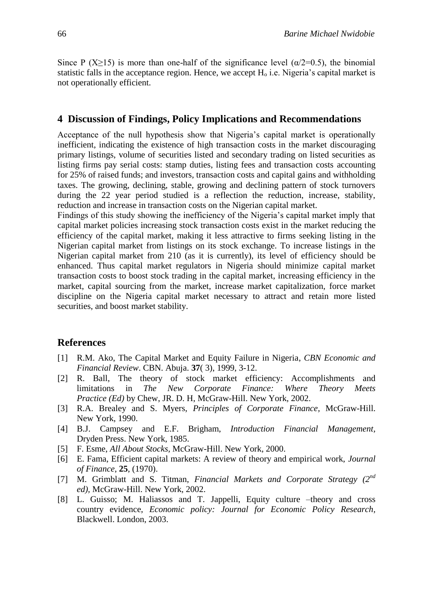Since P (X≥15) is more than one-half of the significance level ( $\alpha/2=0.5$ ), the binomial statistic falls in the acceptance region. Hence, we accept  $H_0$  i.e. Nigeria's capital market is not operationally efficient.

### **4 Discussion of Findings, Policy Implications and Recommendations**

Acceptance of the null hypothesis show that Nigeria's capital market is operationally inefficient, indicating the existence of high transaction costs in the market discouraging primary listings, volume of securities listed and secondary trading on listed securities as listing firms pay serial costs: stamp duties, listing fees and transaction costs accounting for 25% of raised funds; and investors, transaction costs and capital gains and withholding taxes. The growing, declining, stable, growing and declining pattern of stock turnovers during the 22 year period studied is a reflection the reduction, increase, stability, reduction and increase in transaction costs on the Nigerian capital market.

Findings of this study showing the inefficiency of the Nigeria's capital market imply that capital market policies increasing stock transaction costs exist in the market reducing the efficiency of the capital market, making it less attractive to firms seeking listing in the Nigerian capital market from listings on its stock exchange. To increase listings in the Nigerian capital market from 210 (as it is currently), its level of efficiency should be enhanced. Thus capital market regulators in Nigeria should minimize capital market transaction costs to boost stock trading in the capital market, increasing efficiency in the market, capital sourcing from the market, increase market capitalization, force market discipline on the Nigeria capital market necessary to attract and retain more listed securities, and boost market stability.

#### **References**

- [1] R.M. Ako, The Capital Market and Equity Failure in Nigeria, *CBN Economic and Financial Review*. CBN. Abuja. **37**( 3), 1999, 3-12.
- [2] R. Ball, The theory of stock market efficiency: Accomplishments and limitations in *The New Corporate Finance: Where Theory Meets Practice (Ed)* by Chew, JR. D. H, McGraw-Hill. New York, 2002.
- [3] R.A. Brealey and S. Myers, *Principles of Corporate Finance,* McGraw-Hill. New York, 1990.
- [4] B.J. Campsey and E.F. Brigham, *Introduction Financial Management,* Dryden Press. New York, 1985.
- [5] F. Esme, *All About Stocks,* McGraw-Hill. New York, 2000.
- [6] E. Fama, Efficient capital markets: A review of theory and empirical work, *Journal of Finance*, **25**, (1970).
- [7] M. Grimblatt and S. Titman, *Financial Markets and Corporate Strategy (2nd ed),* McGraw-Hill. New York, 2002.
- [8] L. Guisso; M. Haliassos and T. Jappelli, Equity culture –theory and cross country evidence, *Economic policy: Journal for Economic Policy Research,* Blackwell. London, 2003.